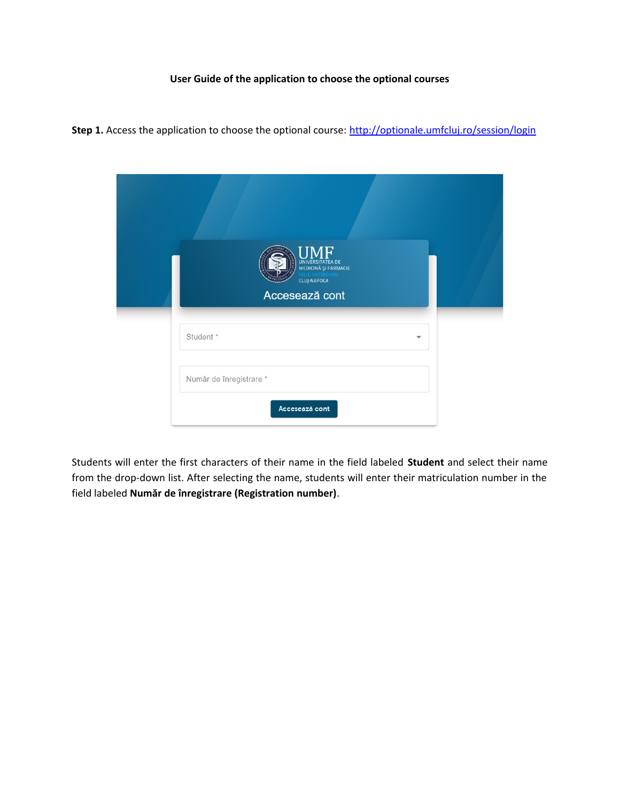## **User Guide of the application to choose the optional courses**

Step 1. Access the application to choose the optional course: <http://optionale.umfcluj.ro/session/login>

| <b>UMF</b><br>UNIVERSITATEA DE<br>MEDICINĂ ȘI FARMACIE<br>CLUJ-NAPOCA<br>Accesează cont |  |
|-----------------------------------------------------------------------------------------|--|
| Student *<br>$\checkmark$                                                               |  |
| Număr de înregistrare *<br>Accesează cont                                               |  |

Students will enter the first characters of their name in the field labeled **Student** and select their name from the drop-down list. After selecting the name, students will enter their matriculation number in the field labeled **Număr de înregistrare (Registration number)**.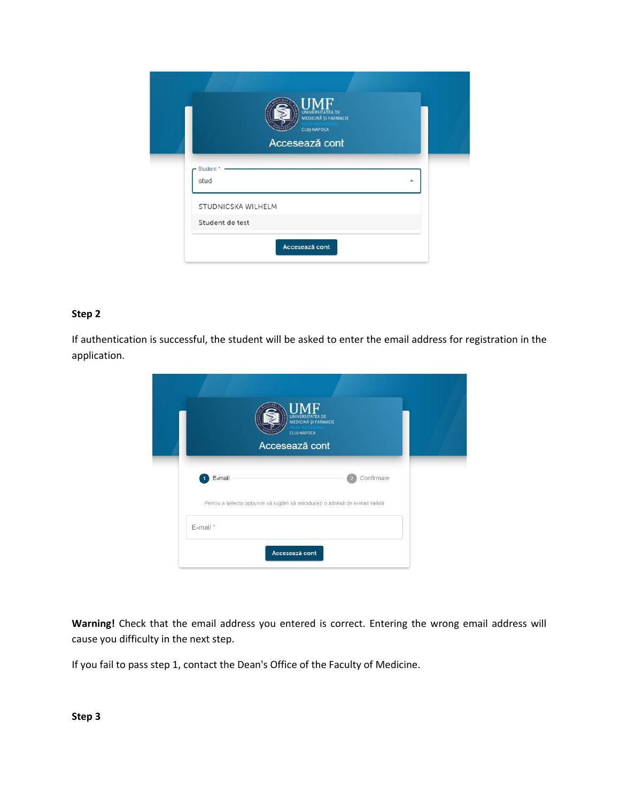|                    | HMF<br>UNIVERSITATEA DE<br>MEDICINĂ ȘI FARMACIE<br><b>CLUJ-NAPOCA</b><br>Accesează cont |
|--------------------|-----------------------------------------------------------------------------------------|
| Student *<br>stud  | ▲                                                                                       |
| STUDNICSKA WILHELM |                                                                                         |
| Student de test    |                                                                                         |

## **Step 2**

If authentication is successful, the student will be asked to enter the email address for registration in the application.

| $\underset{\text{minicia}}{\underset{\text{minicia}}{\text{min}}}\underset{\text{sumic}}{\underset{\text{minic}}{\text{min}}}\mathbf{F}$<br><b>J.HATIEGANU</b><br>CLUJ-NAPOCA<br>Accesează cont |  |
|-------------------------------------------------------------------------------------------------------------------------------------------------------------------------------------------------|--|
| E-mail<br>Confirmare<br>$\overline{2}$                                                                                                                                                          |  |
| Pentru a selecta opțiunile vă rugăm să introduceți o adresă de e-mail validă                                                                                                                    |  |
| E-mail *                                                                                                                                                                                        |  |
| Accesează cont                                                                                                                                                                                  |  |

**Warning!** Check that the email address you entered is correct. Entering the wrong email address will cause you difficulty in the next step.

If you fail to pass step 1, contact the Dean's Office of the Faculty of Medicine.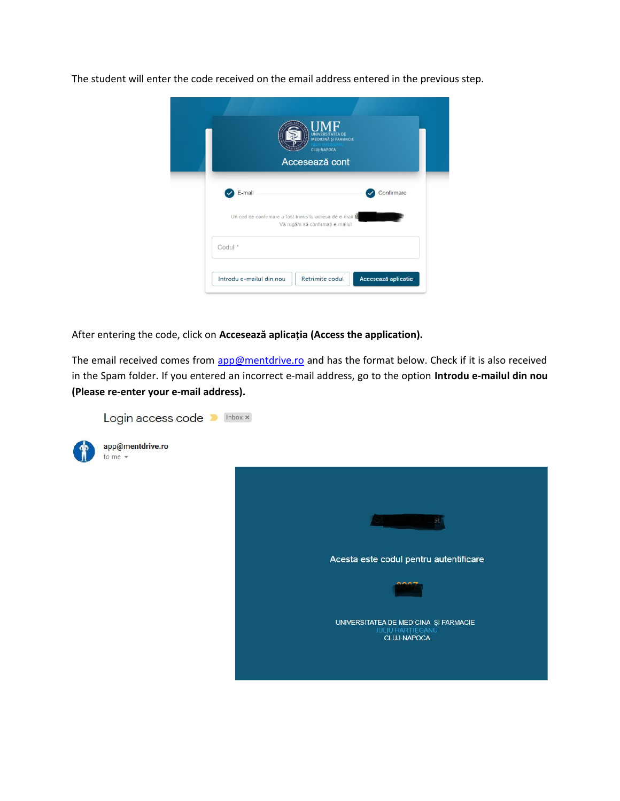The student will enter the code received on the email address entered in the previous step.



After entering the code, click on **Accesează aplicația (Access the application).**

The email received comes from [app@mentdrive.ro](mailto:app@mentdrive.ro) and has the format below. Check if it is also received in the Spam folder. If you entered an incorrect e-mail address, go to the option **Introdu e-mailul din nou (Please re-enter your e-mail address).**

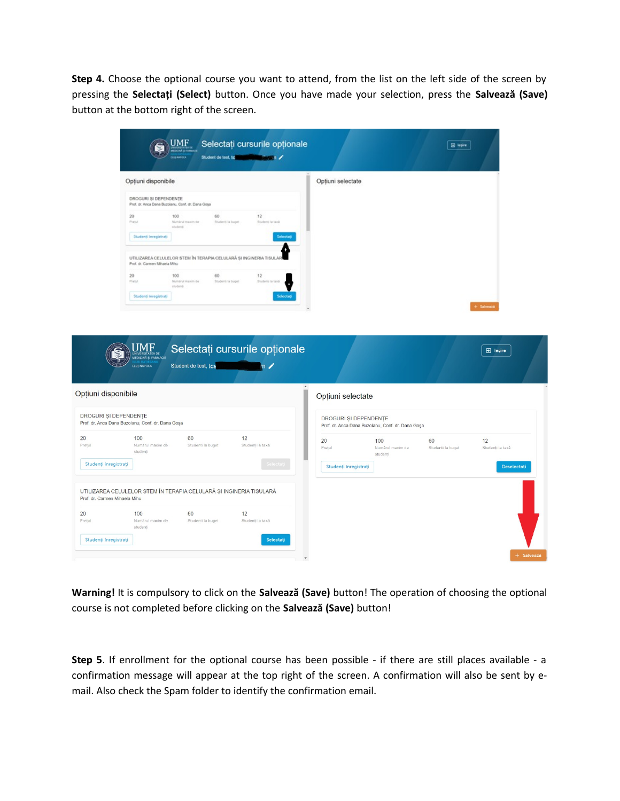**Step 4.** Choose the optional course you want to attend, from the list on the left side of the screen by pressing the **Selectați (Select)** button. Once you have made your selection, press the **Salvează (Save)** button at the bottom right of the screen.

|                                              |                                                                                                     |                                      | Selectați cursurile opționale<br>Student de test, to | $\sim$ $\sim$                 |                       |                                                   |                         |                        |  |
|----------------------------------------------|-----------------------------------------------------------------------------------------------------|--------------------------------------|------------------------------------------------------|-------------------------------|-----------------------|---------------------------------------------------|-------------------------|------------------------|--|
|                                              | Opțiuni disponibile                                                                                 |                                      |                                                      |                               | Opțiuni selectate     |                                                   |                         |                        |  |
|                                              | DROGURI ȘI DEPENDENȚE<br>Prof. dr. Anca Dana Buzolanu, Conf. dr. Dana Goşa                          |                                      |                                                      |                               |                       |                                                   |                         |                        |  |
|                                              | 20<br>Presid                                                                                        | 100<br>Numbral majori de<br>studenti | 60<br>Student-Te buget                               | 12<br>Students la taxà        |                       |                                                   |                         |                        |  |
|                                              | Studenti Inregistrati                                                                               |                                      |                                                      |                               |                       |                                                   |                         |                        |  |
|                                              | UTILIZAREA CELULELOR STEM ÎN TERAPIA CELULARĂ ȘI INGINERIA TISULAI<br>Prof. dr. Carmen Mihaela Mihu |                                      |                                                      |                               |                       |                                                   |                         |                        |  |
|                                              | 20<br>Pretul                                                                                        | 100<br>Numärsit maxim de<br>studenti | 60<br>Studenti la buont                              | 12<br>Studenti la takà        |                       |                                                   |                         |                        |  |
|                                              | Studenti Inregistrati                                                                               |                                      |                                                      |                               |                       |                                                   |                         | <b>External</b>        |  |
|                                              | JMF<br>UNIVERSITATEA DE<br>MEDICINĂ ȘI FARMACIE                                                     |                                      |                                                      | Selectați cursurile opționale |                       |                                                   |                         | $\Box$ lesire          |  |
|                                              | <b>CLUJ-NAPOCA</b>                                                                                  | Student de test, tca                 |                                                      | $\mathfrak{n}$ /              | Opțiuni selectate     |                                                   |                         |                        |  |
| Opțiuni disponibile<br>DROGURI ȘI DEPENDENȚE | Prof. dr. Anca Dana Buzolanu, Conf. dr. Dana Goșa                                                   |                                      |                                                      |                               | DROGURI ȘI DEPENDENȚE | Prof. dr. Anca Dana Buzoianu, Conf. dr. Dana Goșa |                         |                        |  |
| Pretul                                       | 100<br>Numărul maxim de<br>studenți                                                                 | 60<br>Studenti la buget              |                                                      | 12<br>Studenți la taxă        | 20<br>Pretul          | 100<br>Numărul maxim de<br>studenti               | 60<br>Studenti la buget | 12<br>Studenți la taxă |  |
| Studenți înregistrați                        |                                                                                                     |                                      |                                                      |                               | Studenți înregistrați |                                                   |                         | Deselectati            |  |
| Prof. dr. Carmen Mihaela Mihu                | UTILIZAREA CELULELOR STEM ÎN TERAPIA CELULARĂ ȘI INGINERIA TISULARĂ                                 |                                      |                                                      |                               |                       |                                                   |                         |                        |  |
|                                              | 100<br>Numărul maxim de<br>studenti                                                                 | 60<br>Studenti la buget              |                                                      | 12<br>Studenți la taxă        |                       |                                                   |                         |                        |  |

**Warning!** It is compulsory to click on the **Salvează (Save)** button! The operation of choosing the optional course is not completed before clicking on the **Salvează (Save)** button!

**Step 5**. If enrollment for the optional course has been possible - if there are still places available - a confirmation message will appear at the top right of the screen. A confirmation will also be sent by email. Also check the Spam folder to identify the confirmation email.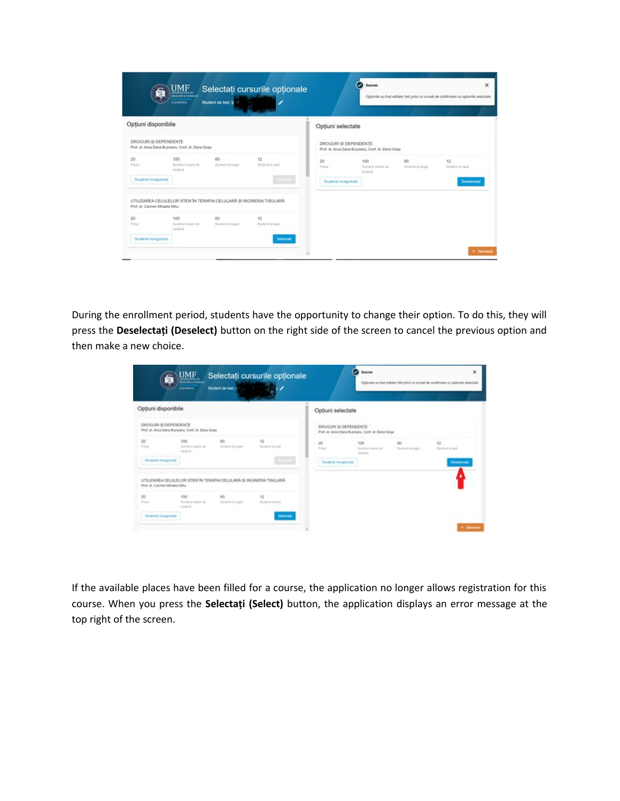|                               | UMF.<br>MIDICINA SI FARMACIE<br><b>CLUS HAROCA</b> | Student de test, to                                                 | Selectați cursurile opționale |                       | ∽                                                 |                         | Optiunile au fost editate Veti primi un e-mail de confirmare cu optiunile selectate |
|-------------------------------|----------------------------------------------------|---------------------------------------------------------------------|-------------------------------|-----------------------|---------------------------------------------------|-------------------------|-------------------------------------------------------------------------------------|
| Optiuni disponibile           |                                                    |                                                                     |                               | Optiuni selectate     |                                                   |                         |                                                                                     |
| DROGURI SI DEPENDENTE         | Prof. dr. Anca Dana Buzolanu, Conf. dr. Dana Goşa  |                                                                     |                               | DROGURI SI DEPENDENTE | Prof. dr. Anca Dana Buzolanu, Conf. dr. Dana Goşa |                         |                                                                                     |
| 20<br>Pretul                  | 100<br>Numânul maxim de<br>student                 | 60<br>Studenti la buget                                             | 12<br>Students ia taxà        | 20<br>Pretul          | 100<br>Numbrul maxim de<br>students               | 60<br>Studenti la buget | 12<br>Student to taxà                                                               |
| Studenti Inregistrati         |                                                    |                                                                     | Sellestan                     | Studenți Inregistrați |                                                   |                         | Deselectati                                                                         |
| Prof. dr. Carmen Mihaela Mihu |                                                    | UTILIZAREA CELULELOR STEM ÎN TERAPIA CELULARĂ ȘI INGINERIA TISULARĂ |                               |                       |                                                   |                         |                                                                                     |
| 20<br>Pretul                  | 100<br>Numbrul maxim de<br>studend                 | 60<br>Studenti la buget                                             | 12<br>Studenti la taxà        |                       |                                                   |                         |                                                                                     |
| Studenti inregistrati         |                                                    |                                                                     | Selectati                     |                       |                                                   |                         |                                                                                     |

During the enrollment period, students have the opportunity to change their option. To do this, they will press the **Deselectați (Deselect)** button on the right side of the screen to cancel the previous option and then make a new choice.

| S                                                                          | $UMF$<br><b>SUMMOR</b>                                   |                                                                     | Selectati cursurile optionale |                                                                             | o<br>Succes                                       |                         | ×<br>Optiunite au fost editate Veti primi un e-mail de confirmare cu optiunile selectate |
|----------------------------------------------------------------------------|----------------------------------------------------------|---------------------------------------------------------------------|-------------------------------|-----------------------------------------------------------------------------|---------------------------------------------------|-------------------------|------------------------------------------------------------------------------------------|
| Opțiuni disponibile                                                        |                                                          |                                                                     |                               | Optiuni selectate                                                           |                                                   |                         |                                                                                          |
| DROGURI SI DEPENDENTE<br>Prof. dr. Anca Dana Buzolanu, Conf. dr. Dana Goya |                                                          |                                                                     |                               | DROGURI SI DEPENDENTE<br>Prof. dr. Anca Dana Buzolanu, Corif. dr. Dana Gosa |                                                   |                         |                                                                                          |
| 20<br>Preside                                                              | state<br><b>Thursday Inquiry Inc.</b><br><b>Wildlife</b> | 60<br>Student is buyer                                              | 12<br>Trustered in fand.      | 20<br>Field                                                                 | 100<br><b>Rundrul Ingern be</b><br>played bearing | 60<br>Bruderik la bupel | 12<br><b>Bluebard</b> , la hand                                                          |
| Student Innegistrati                                                       |                                                          |                                                                     |                               | Student Inngstrati                                                          |                                                   |                         | Desainchat                                                                               |
| Prof. dr. Carmen Mihaela Mihu                                              |                                                          | UTILIZAREA CELULELOR STEM ÎN TERAPIA CELULARĂ ȘI INGINERIA TISULARĂ |                               |                                                                             |                                                   |                         |                                                                                          |
| 20<br>Preton                                                               | 100<br>Number mason on                                   | 60<br><b>Bluderit is buyer</b>                                      | 12<br><b>Students to head</b> |                                                                             |                                                   |                         |                                                                                          |
| Studenti invegistrati                                                      | students.                                                |                                                                     | Selectedi                     |                                                                             |                                                   |                         |                                                                                          |
|                                                                            |                                                          |                                                                     |                               |                                                                             |                                                   |                         | 4 Salvast                                                                                |

If the available places have been filled for a course, the application no longer allows registration for this course. When you press the **Selectați (Select)** button, the application displays an error message at the top right of the screen.